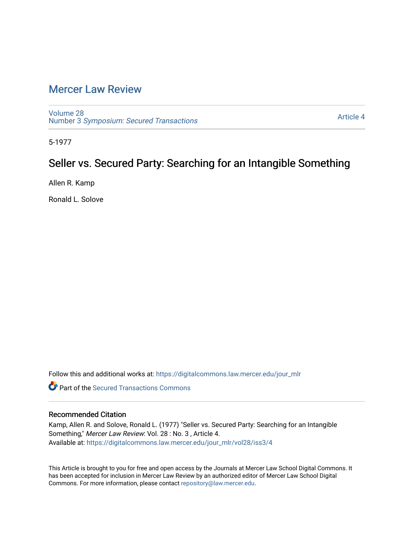# [Mercer Law Review](https://digitalcommons.law.mercer.edu/jour_mlr)

[Volume 28](https://digitalcommons.law.mercer.edu/jour_mlr/vol28) Number 3 [Symposium: Secured Transactions](https://digitalcommons.law.mercer.edu/jour_mlr/vol28/iss3)

[Article 4](https://digitalcommons.law.mercer.edu/jour_mlr/vol28/iss3/4) 

5-1977

# Seller vs. Secured Party: Searching for an Intangible Something

Allen R. Kamp

Ronald L. Solove

Follow this and additional works at: [https://digitalcommons.law.mercer.edu/jour\\_mlr](https://digitalcommons.law.mercer.edu/jour_mlr?utm_source=digitalcommons.law.mercer.edu%2Fjour_mlr%2Fvol28%2Fiss3%2F4&utm_medium=PDF&utm_campaign=PDFCoverPages)

**C** Part of the [Secured Transactions Commons](http://network.bepress.com/hgg/discipline/876?utm_source=digitalcommons.law.mercer.edu%2Fjour_mlr%2Fvol28%2Fiss3%2F4&utm_medium=PDF&utm_campaign=PDFCoverPages)

# Recommended Citation

Kamp, Allen R. and Solove, Ronald L. (1977) "Seller vs. Secured Party: Searching for an Intangible Something," Mercer Law Review: Vol. 28 : No. 3 , Article 4. Available at: [https://digitalcommons.law.mercer.edu/jour\\_mlr/vol28/iss3/4](https://digitalcommons.law.mercer.edu/jour_mlr/vol28/iss3/4?utm_source=digitalcommons.law.mercer.edu%2Fjour_mlr%2Fvol28%2Fiss3%2F4&utm_medium=PDF&utm_campaign=PDFCoverPages)

This Article is brought to you for free and open access by the Journals at Mercer Law School Digital Commons. It has been accepted for inclusion in Mercer Law Review by an authorized editor of Mercer Law School Digital Commons. For more information, please contact [repository@law.mercer.edu.](mailto:repository@law.mercer.edu)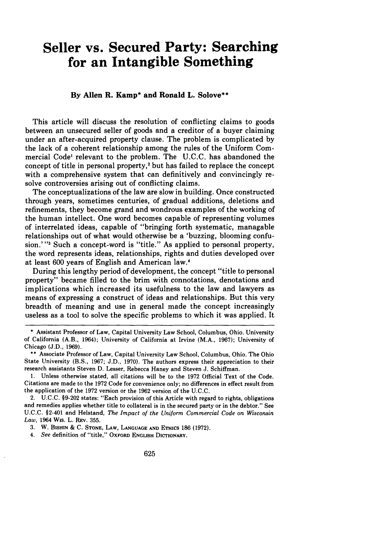# **Seller vs. Secured Party: Searching for an Intangible Something**

## **By Allen R. Kamp\* and Ronald L. Solove\*\***

This article will discuss the resolution of conflicting claims to goods between an unsecured seller of goods and a creditor of a buyer claiming under an after-acquired property clause. The problem is complicated **by** the lack of a coherent relationship among the rules of the Uniform Commercial Code' relevant to the problem. The **U.C.C.** has abandoned the concept of title in personal property,2 but has failed to replace the concept with a comprehensive system that can definitively and convincingly resolve controversies arising out of conflicting claims.

The conceptualizations of the law are slow in building. Once constructed through years, sometimes centuries, of gradual additions, deletions and refinements, they become grand and wondrous examples of the working of the human intellect. One word becomes capable of representing volumes of interrelated ideas, capable of "bringing forth systematic, managable relationships out of what would otherwise be a 'buzzing, blooming confusion.' **-3** Such a concept-word is "title." As applied to personal property, the word represents ideas, relationships, rights and duties developed over at least **600** years of English and American law.'

During this lengthy period of development, the concept "title to personal property" became filled to the brim with connotations, denotations and implications which increased its usefulness to the law and lawyers as means of expressing a construct of ideas and relationships. But this very breadth of meaning and use in general made the concept increasingly useless as a tool to solve the specific problems to which it was applied. It

3. W. **BISHIN** & **C. STONE,** LAW, **LANGUAGE AND** ETHics 186 (1972).

*4. See* definition of "title," OXFORD **ENGLISH DIcTIONARY.**

**<sup>\*</sup>** Assistant Professor of Law, Capital University Law School, Columbus, Ohio. University of California (A.B., 1964); University of California at Irvine (M.A., **1967);** University of Chicago **(J.D., 1969).**

**<sup>\*\*</sup>** Associate Professor of Law, Capital University Law School, Columbus, Ohio. The Ohio State University (B.S., **1967; J.D., 1970).** The authors express their appreciation to their research assistants Steven **D.** Lesser, Rebecca Haney and Steven **J.** Schiffman.

**<sup>1.</sup>** Unless otherwise stated, all citations will be to the **1972** Official Text of the Code. Citations are made to the **1972** Code for convenience only; no differences in effect result from the application of the **1972** version or the **1962** version of the **U.C.C.**

<sup>2.</sup> **U.C.C. §9-202** states: "Each provision of this Article with regard to rights, obligations and remedies applies whether title to collateral is in the secured party or in the debtor." See U.C.C. §2-401 and Helstand, *The Impact of the Uniform Commercial Code on Wisconsin Law,* 1964 Wis. L. REV. 355.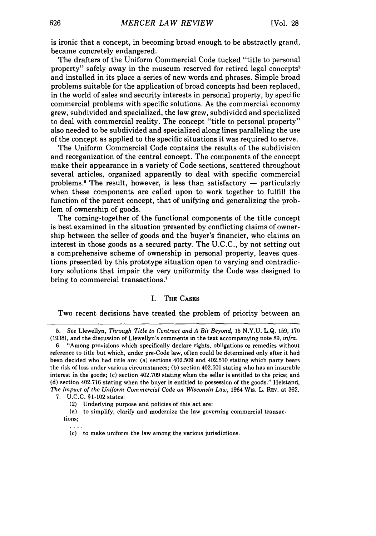is ironic that a concept, in becoming broad enough to be abstractly grand, became concretely endangered.

The drafters of the Uniform Commercial Code tucked "title to personal property" safely away in the museum reserved for retired legal concepts' and installed in its place a series of new words and phrases. Simple broad problems suitable for the application of broad concepts had been replaced, in the world of sales and security interests in personal property, by specific commercial problems with specific solutions. As the commercial economy grew, subdivided and specialized, the law grew, subdivided and specialized to deal with commercial reality. The concept "title to personal property" also needed to be subdivided and specialized along lines paralleling the use of the concept as applied to the specific situations it was required to serve.

The Uniform Commercial Code contains the results of the subdivision and reorganization of the central concept. The components of the concept make their appearance in a variety of Code sections, scattered throughout several articles, organized apparently to deal with specific commercial problems.<sup> $\epsilon$ </sup> The result, however, is less than satisfactory  $-$  particularly when these components are called upon to work together to fulfill the function of the parent concept, that of unifying and generalizing the problem of ownership of goods.

The coming-together of the functional components of the title concept is best examined in the situation presented by conflicting claims of ownership between the seller of goods and the buyer's financier, who claims an interest in those goods as a secured party. The U.C.C., by not setting out a comprehensive scheme of ownership in personal property, leaves questions presented by this prototype situation open to varying and contradictory solutions that impair the very uniformity the Code was designed to bring to commercial transactions.<sup>7</sup>

### I. THE CASES

Two recent decisions have treated the problem of priority between an

<sup>5.</sup> *See* Llewellyn, *Through Title to Contract and A Bit Beyond,* 15 N.Y.U. L.Q. 159, 170 (1938), and the discussion of Llewellyn's comments in the text accompanying note 89, *infra.*

<sup>6. &</sup>quot;Among provisions which specifically declare rights, obligations or remedies without reference to title but which, under pre-Code law, often could be determined only after it had been decided who had title are: (a) sections 402.509 and 402.510 stating which party bears the risk of loss under various circumstances; (b) section 402.501 stating who has an insurable interest in the goods; (c) section 402.709 stating when the seller is entitled to the price; and (d) section 402.716 stating when the buyer is entitled to possession of the goods." Helstand, *The Impact of the Uniform Commercial Code on Wisconsin Law, 1964 Wis. L. Rev. at 362.* 

<sup>7.</sup> U.C.C. §1-102 states:

<sup>(2)</sup> Underlying purpose and policies of this act are:

<sup>(</sup>a) to simplify, clarify and modernize the law governing commercial transactions;

<sup>(</sup>c) to make uniform the law among the various jurisdictions.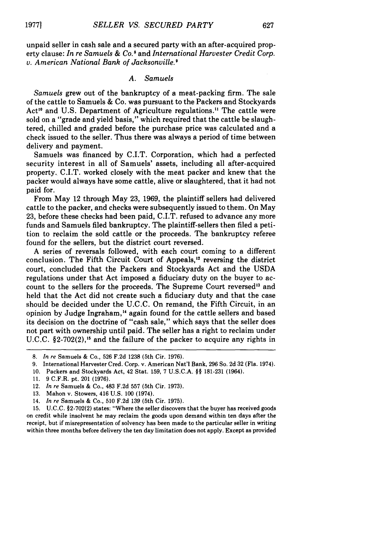unpaid seller in cash sale and a secured party with an after-acquired property clause: *In re Samuels & Co.8* and *International Harvester Credit Corp. v. American National Bank of Jacksonville.'*

#### *A. Samuels*

*Samuels* grew out of the bankruptcy of a meat-packing firm. The sale of the cattle to Samuels & Co. was pursuant to the Packers and Stockyards Act'" and U.S. Department of Agriculture regulations." The cattle were sold on a "grade and yield basis," which required that the cattle be slaughtered, chilled and graded before the purchase price was calculated and a check issued to the seller. Thus there was always a period of time between delivery and payment.

Samuels was financed by C.I.T. Corporation, which had a perfected security interest in all of Samuels' assets, including all after-acquired property. C.I.T. worked closely with the meat packer and knew that the packer would always have some cattle, alive or slaughtered, that it had not paid for.

From May 12 through May 23, 1969, the plaintiff sellers had delivered cattle to the packer, and checks were subsequently issued to them. On May 23, before these checks had been paid, C.I.T. refused to advance any more funds and Samuels filed bankruptcy. The plaintiff-sellers then filed a petition to reclaim the sold cattle or the proceeds. The bankruptcy referee found for the sellers, but the district court reversed.

A series of reversals followed, with each court coming to a different conclusion. The Fifth Circuit Court of Appeals,<sup>12</sup> reversing the district court, concluded that the Packers and Stockyards Act and the USDA regulations under that Act imposed a fiduciary duty on the buyer to account to the sellers for the proceeds. The Supreme Court reversed'" and held that the Act did not create such a fiduciary duty and that the case should be decided under the U.C.C. On remand, the Fifth Circuit, in an opinion by Judge Ingraham," again found for the cattle sellers and based its decision on the doctrine of "cash sale," which says that the seller does not part with ownership until paid. The seller has a right to reclaim under U.C.C. §2-702(2),<sup>15</sup> and the failure of the packer to acquire any rights in

**<sup>8.</sup>** *In re* Samuels **&** Co., **526 F.2d 1238** (5th Cir. **1976).**

**<sup>9.</sup>** International Harvester Cred. Corp. v. American Nat'l Bank, **296** So. **2d 32** (Fla. 1974).

**<sup>10.</sup>** Packers and Stockyards Act, 42 Stat. **159, 7 U.S.C.A. §§ 181-231** (1964).

**<sup>11. 9</sup>** C.F.R. pt. 201 **(1976).**

<sup>12.</sup> *In re* Samuels **&** Co., 483 **F.2d 557** (5th Cir. **1973).**

**<sup>13.</sup>** Mahon v. Stowers, 416 **U.S. 100** (1974).

<sup>14.</sup> *In re* Samuels **&** Co., **510 F.2d 139** (5th Cir. **1975).**

**<sup>15.</sup> U.C.C. §2-702(2)** states: "Where the seller discovers that the buyer has received goods on credit while insolvent he may reclaim the goods upon demand within ten days after the receipt, but if misrepresentation of solvency has been made to the particular seller in writing within three months before delivery the ten day limitation does not apply. Except as provided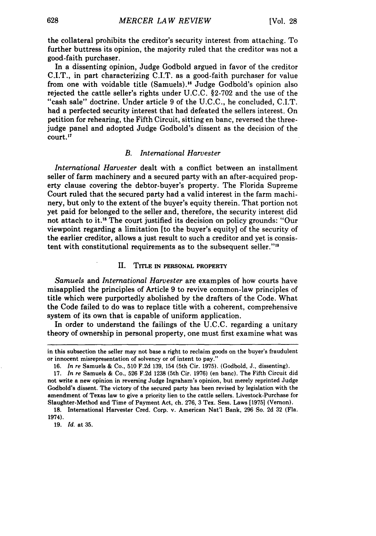the collateral prohibits the creditor's security interest from attaching. To further buttress its opinion, the majority ruled that the creditor was not a good-faith purchaser.

In a dissenting opinion, Judge Godbold argued in favor of the creditor C.I.T., in part characterizing C.I.T. as a good-faith purchaser for value from one with voidable title (Samuels).<sup>16</sup> Judge Godbold's opinion also rejected the cattle seller's rights under U.C.C. §2-702 and the use of the "cash sale" doctrine. Under article 9 of the U.C.C., he concluded, C.I.T. had a perfected security interest that had defeated the sellers interest. On petition for rehearing, the Fifth Circuit, sitting en banc, reversed the threejudge panel and adopted Judge Godbold's dissent as the decision of the court."7

### *B. International Harvester*

*International Harvester* dealt with a conflict between an installment seller of farm machinery and a secured party with an after-acquired property clause covering the debtor-buyer's property. The Florida Supreme Court ruled that the secured party had a valid interest in the farm machinery, but only to the extent of the buyer's equity therein. That portion not yet paid for belonged to the seller and, therefore, the security interest did not attach to it.<sup>18</sup> The court justified its decision on policy grounds: "Our viewpoint regarding a limitation [to the buyer's equity] of the security of the earlier creditor, allows a just result to such a creditor and yet is consistent with constitutional requirements as to the subsequent seller."<sup>19</sup>

### **I. TITLE IN PERSONAL** PROPERTY

*Samuels* and *International Harvester* are examples of how courts have misapplied the principles of Article **9** to revive common-law principles of title which were purportedly abolished by the drafters of the Code. What the Code failed to do was to replace title with a coherent, comprehensive system of its own that is capable of uniform application.

In order to understand the failings of the U.C.C. regarding a unitary theory of ownership in personal property, one must first examine what was

**19.** *Id.* at **35.**

in this subsection the seller may not base a right to reclaim goods on the buyer's fraudulent or innocent misrepresentation of solvency or of intent to pay."

<sup>16.</sup> *In re* Samuels & Co., 510 F.2d 139, 154 (5th Cir. 1975). (Godbold, J., dissenting).

<sup>17.</sup> *In re* Samuels & Co., 526 F.2d 1238 (5th Cir. 1976) (en banc). The Fifth Circuit did not write a new opinion in reversing Judge Ingraham's opinion, but merely reprinted Judge Godbold's dissent. The victory of the secured party has been revised by legislation with the amendment of Texas law to give a priority lien to the cattle sellers. Livestock-Purchase for Slaughter-Method and Time of Payment Act, ch. 276, 3 Tex. Sess. Laws [1975] (Vernon).

**<sup>18.</sup>** International Harvester Cred. Corp. v. American Nat'l Bank, 296 So. 2d 32 (Fla. 1974).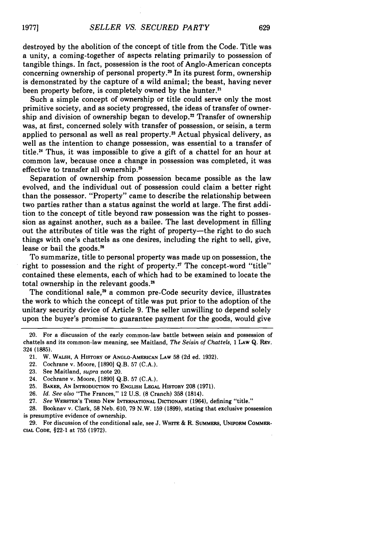destroyed **by** the abolition of the concept of title from the Code. Title was a unity, a coming-together of aspects relating primarily to possession of tangible things. In fact, possession is the root of Anglo-American concepts concerning ownership of personal property.<sup>20</sup> In its purest form, ownership is demonstrated by the capture of a wild animal; the beast, having never been property before, is completely owned by the hunter.<sup>2</sup>

Such a simple concept of ownership or title could serve only the most primitive society, and as society progressed, the ideas of transfer of ownership and division of ownership began to develop.<sup>22</sup> Transfer of ownership was, at first, concerned solely with transfer of possession, or seisin, a term applied to personal as well as real property.<sup>23</sup> Actual physical delivery, as well as the intention to change possession, was essential to a transfer of title.<sup>24</sup> Thus, it was impossible to give a gift of a chattel for an hour at common law, because once a change in possession was completed, it was effective to transfer all ownership.<sup>25</sup>

Separation of ownership from possession became possible as the law evolved, and the individual out of possession could claim a better right than the possessor. "Property" came to describe the relationship between two parties rather than a status against the world at large. The first addition to the concept of title beyond raw possession was the right to possession as against another, such as a bailee. The last development in filling out the attributes of title was the right of property-the right to do such things with one's chattels as one desires, including the right to sell, give, lease or bail the goods.<sup>26</sup>

To summarize, title to personal property was made up on possession, the right to possession and the right of property.<sup>27</sup> The concept-word "title" contained these elements, each of which had to be examined to locate the total ownership in the relevant goods.<sup>28</sup>

The conditional sale,<sup>29</sup> a common pre-Code security device, illustrates the work to which the concept of title was put prior to the adoption of the unitary security device of Article 9. The seller unwilling to depend solely upon the buyer's promise to guarantee payment for the goods, would give

27. *See* WEBSTER'S **THIRD NEW INTERNATIONAL DICTIONARY** (1964), defining "title."

**28.** Booknav v. Clark, **58** Neb. 610, 79 N.W. 159 (1899), stating that exclusive possession is presumptive evidence of ownership.

29. For discussion of the conditional sale, see J. WHITE & R. **SUMMERS, UNIFORM** COMMER-**CIAL CODE,** §22-1 at 755 (1972).

**19771**

<sup>20.</sup> For a discussion of the early common-law battle between seisin and possession of chattels and its common-law meaning, see Maitland, *The Seisin of Chattels,* 1 LAW Q. REv. 324 (1885).

<sup>21.</sup> W. WALSH, A HISTORY **OF** ANGLO-AMERICAN **LAW** 58 (2d ed. 1932).

<sup>22.</sup> Cochrane v. Moore, [1890] Q.B. 57 (C.A.).

<sup>23.</sup> See Maitland, *supra* note 20.

<sup>24.</sup> Cochrane v. Moore, [18901 Q.B. 57 (C.A.).

**<sup>25.</sup> BAKER, AN INTRODUCTION** To **ENGLISH LEGAL HISTORY 208 (1971).**

<sup>26.</sup> *Id. See also* "The Frances," 12 U.S. (8 Cranch) **358** (1814).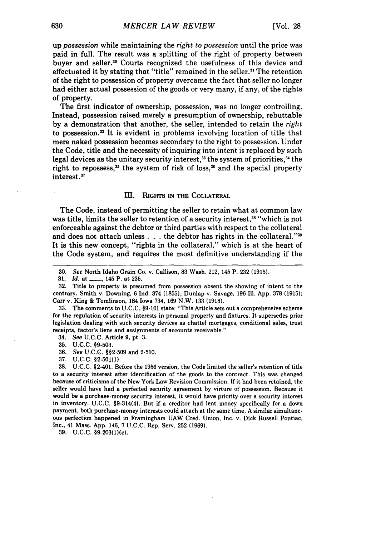up *possession* while maintaining the *right to possession* until the price was paid in full. The result was a splitting of the right of property between buver and seller.<sup>30</sup> Courts recognized the usefulness of this device and effectuated it by stating that "title" remained in the seller.<sup>31</sup> The retention of the right to possession of property overcame the fact that seller no longer had either actual possession of the goods or very many, if any, of the rights of property.

The first indicator of ownership, possession, was no longer controlling. Instead, possession raised merely a presumption of ownership, rebuttable by a demonstration that another, the seller, intended to retain the *right* to possession.<sup>32</sup> It is evident in problems involving location of title that mere naked possession becomes secondary to the right to possession. Under the Code, title and the necessity of inquiring into intent is replaced by such legal devices as the unitary security interest,<sup>33</sup> the system of priorities,<sup>34</sup> the right to repossess,<sup>35</sup> the system of risk of loss,<sup>36</sup> and the special property interest.37

#### **m.** RIGHTs **IN THE COLLATERAL**

The Code, instead of permitting the seller to retain what at common law was title, limits the seller to retention of a security interest,<sup>38</sup> "which is not enforceable against the debtor or third parties with respect to the collateral and does not attach unless . . . the debtor has rights in the collateral."<sup>39</sup> It is this new concept, "rights in the collateral," which is at the heart of the Code system, and requires the most definitive understanding if the

35. U.C.C. §9-503.

36. *See* U.C.C. §§2-509 and 2-510.

**39. U.C.C.** §9-203(1)(c).

**<sup>30.</sup>** *See* North Idaho Grain Co. v. Callison, **83** Wash. 212, 145 P. **232 (1915).**

**<sup>31.</sup>** *Id.* at **-, 145 P.** at **235.**

**<sup>32.</sup>** Title to property is presumed from possession absent the showing of intent to the contrary. Smith v. Downing, **6 Ind.** 374 **(1855);** Dunlap v. Savage, **196 Ill. App. 378 (1915);** Carr v. King **&** Tomlinson, 184 Iowa 734, **169** N.W. **133 (1918).**

**<sup>33.</sup>** The comments to **U.C.C. §9-101** state: "This Article sets out a comprehensive scheme for the regulation of security interests in personal property and fixtures. It supersedes prior legislation dealing with such security devices as chattel mortgages, conditional sales, trust receipts, factor's liens and assignments of accounts receivable."

<sup>34.</sup> *See* U.C.C. Article 9, pt. 3.

**<sup>37.</sup> U.C.C. §2-501(1).**

<sup>38.</sup> U.C.C. §2-401. Before the 1956 version, the Code limited the seller's retention of title to a security interest after identification of the goods to the contract. This was changed because of criticisms of the New York Law Revision Commission. If it had been retained, the seller would have had a perfected security agreement by virture of possession. Because it would be a purchase-money security interest, it would have priority over a security interest in inventory. U.C.C. §9-314(4). But if a creditor had lent money specifically for a down payment, both purchase-money interests could attach at the same time. **A** similar simultaneous perfection happened in Framingham **UAW** Cred. Union, Inc. v. Dick Russell Pontiac, Inc., 41 Mass. App. 146, 7 U.C.C. Rep. Serv. 252 (1969).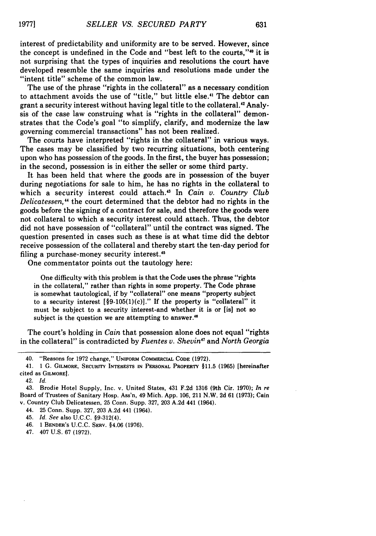interest of predictability and uniformity are to be served. However, since the concept is undefined in the Code and "best left to the courts,"<sup>40</sup> it is not surprising that the types of inquiries and resolutions the court have developed resemble the same inquiries and resolutions made under the "intent title" scheme of the common law.

The use of the phrase "rights in the collateral" as a necessary condition to attachment avoids the use of "title," but little else.<sup>41</sup> The debtor can grant a security interest without having legal title to the collateral.<sup>42</sup> Analysis of the case law construing what is "rights in the collateral" demonstrates that the Code's goal "to simplify, clarify, and modernize the law governing commercial transactions" has not been realized.

The courts have interpreted "rights in the collateral" in various ways. The cases may be classified by two recurring situations, both centering upon who has possession of the goods. In the first, the buyer has possession; in the second, possession is in either the seller or some third party.

It has been held that where the goods are in possession of the buyer during negotiations for sale to him, he has no rights in the collateral to which a security interest could attach.'3 In *Cain v. Country Club Delicatessen,"* the court determined that the debtor had no rights in the goods before the signing of a contract for sale, and therefore the goods were not collateral to which a security interest could attach. Thus, the debtor did not have possession of "collateral" until the contract was signed. The question presented in cases such as these is at what time did the debtor receive possession of the collateral and thereby start the ten-day period for filing a purchase-money security interest.<sup>45</sup>

One commentator points out the tautology here:

One difficulty with this problem is that the Code uses the phrase "rights in the collateral," rather than rights in some property. The Code phrase is somewhat tautological, if by "collateral" one means "property subject to a security interest  $[\$9-105(1)(c)]$ ." If the property is "collateral" it must be subject to a security interest-and whether it is or [is] not so subject is the question we are attempting to answer.<sup>46</sup>

The court's holding in *Cain* that possession alone does not equal "rights in the collateral" is contradicted by *Fuentes v. Shevin'7* and *North Georgia*

- 44. 25 Conn. Supp. **327, 203 A.2d** 441 (1964).
- 45. *Id. See* also **U.C.C.** §9-312(4).
- 46. **1 BENDER'S U.C.C.** SERV. §4.06 **(1976).**
- 47. 407 **U.S. 67 (1972).**

<sup>40. &</sup>quot;Reasons for 1972 change," **UNIFORM COMMERCIAL CODE (1972).**

<sup>41. 1</sup> **G. GILMORE,** SECURITY **INTERESTS IN PERSONAL PROPERTY** §11.5 **(1965)** [hereinafter cited as **GILMORE].**

<sup>42.</sup> *Id.*

<sup>43.</sup> Brodie Hotel Supply, Inc. v. United States, 431 **F.2d 1316** (9th Cir. **1970);** *In re* Board of Trustees of Sanitary Hosp. Ass'n, 49 Mich. **App. 106,** 211 N.W. **2d 61 (1973);** Cain v. Country Club Delicatessen, **25** Conn. Supp. **327, 203 A.2d** 441 (1964).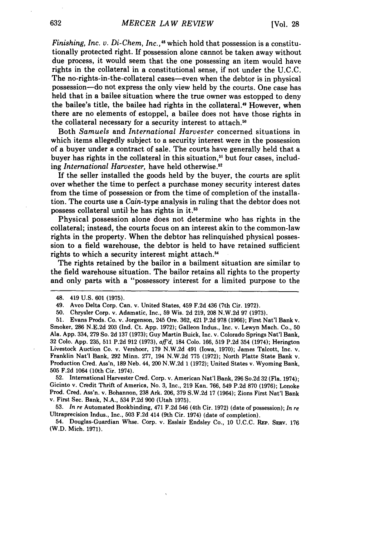*Finishing, Inc. v. Di-Chem, Inc.,*<sup>48</sup> which hold that possession is a constitutionally protected right. If possession alone cannot be taken away without due process, it would seem that the one possessing an item would have rights in the collateral in a constitutional sense, if not under the U.C.C. The no-rights-in-the-collateral cases—even when the debtor is in physical possession-do not express the only view held by the courts. One case has held that in a bailee situation where the true owner was estopped to deny the bailee's title, the bailee had rights in the collateral."9 However, when there are no elements of estoppel, a bailee does not have those rights in the collateral necessary for a security interest to attach.<sup>50</sup>

Both *Samuels* and *International Harvester* concerned situations in which items allegedly subject to a security interest were in the possession of a buyer under a contract of sale. The courts have generally held that a buyer has rights in the collateral in this situation,<sup>51</sup> but four cases, including *International Harvester*, have held otherwise.<sup>52</sup>

If the seller installed the goods held by the buyer, the courts are split over whether the time to perfect a purchase money security interest dates from the time of possession or from the time of completion of the installation. The courts use a *Cain-type* analysis in ruling that the debtor does not possess collateral until he has rights in it.<sup>53</sup>

Physical possession alone does not determine who has rights in the collateral; instead, the courts focus on an interest akin to the common-law rights in the property. When the debtor has relinquished physical possession to a field warehouse, the debtor is held to have retained sufficient rights to which a security interest might attach.<sup>54</sup>

The rights retained **by** the bailor in a bailment situation are similar to the field warehouse situation. The bailor retains all rights to the property and only parts with a "possessory interest for a limited purpose to the

**52.** International Harvester Cred. Corp. v. American Nat'l Bank, **296** So.2d **32** (Fla. 1974); Gicinto **v.** Credit Thrift of America, No. **3,** Inc., **219** Kan. **766,** 549 **P.2d 870 (1976);** Lonoke Prod. Cred. Ass'n. **v.** Bohannon, **238** Ark. **206, 379 S.W.2d 17** (1964); Zions First Nat'l Bank **v.** First Sec. Bank, **N.A.,** 534 **P.2d 900** (Utah **1975).**

**53.** *In re* Automated Bookbinding, 471 **F.2d** 546 (4th Cir. **1972)** (date of possession); *In re* Ultraprecision Indus., Inc., **503 F.2d** 414 (9th Cir. 1974) (date of completion).

**54.** Douglas-Guardian Whse. Corp. v. Esslair Endsley Co., **10 U.C.C. REP.** Saiv. **<sup>176</sup>** (W.D. Mich. **1971).**

<sup>48. 419</sup> **U.S. 601 (1975).**

<sup>49.</sup> Avco Delta Corp. Can. v. United States, 459 **F.2d** 436 (7th **Cir. 1972).**

**<sup>50.</sup>** Chrysler Corp. **v.** Adamatic, Inc., **59** Wis. **2d 219, 208 N.W.2d 97 (1973).**

<sup>51.</sup> Evans Prods. Co. v. Jorgenson, 245 Ore. 362, 421 P.2d 978 (1966); First Nat'l Bank v.<br>Smoker, 286 N.E.2d 203 (Ind. Ct. App. 1972); Galleon Indus., Inc. v. Lewyn Mach. Co., 50 Ala. **App. 334, 279** So. **2d 137 (1973);** Guy Martin Buick, Inc. v. Colorado Springs Nat'l Bank, **32 Colo. App. 235, 511 P.2d 912 (1973),** *aff'd,* 184 **Colo. 166, 519 P.2d** 354 (1974); Herington Livestock Auction Co. v. Vershoor, 179 N.W.2d 491 (Iowa, 1970); James Talcott, Inc. v.<br>Franklin Nat'l Bank, 292 Minn. 277, 194 N.W.2d 775 (1972); North Platte State Bank v.<br>Production Cred. Ass'n, 189 Neb. 44, 200 N.W.2d 1 **505 F.2d** 1064 (10th Cir. 1974).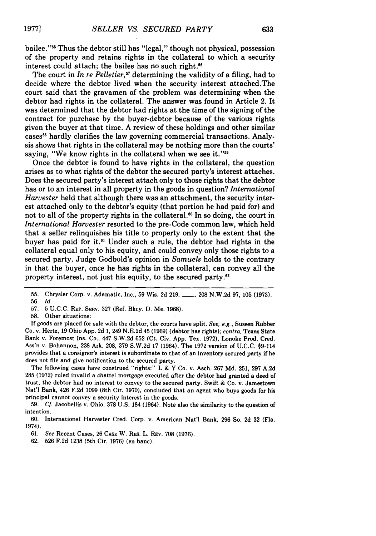bailee."<sup>55</sup> Thus the debtor still has "legal," though not physical, possession of the property and retains rights in the collateral to which a security interest could attach; the bailee has no such right.<sup>56</sup>

The court in *In re Pelletier*,<sup>57</sup> determining the validity of a filing, had to decide where the debtor lived when the security interest attached.The court said that the gravamen of the problem was determining when the debtor had rights in the collateral. The answer was found in Article 2. It was determined that the debtor had rights at the time of the signing of the contract for purchase by the buyer-debtor because of the various rights given the buyer at that time. A review of these holdings and other similar cases<sup>58</sup> hardly clarifies the law governing commercial transactions. Analysis shows that rights in the collateral may be nothing more than the courts' saying, "We know rights in the collateral when we see it." $59$ 

Once the debtor is found to have rights in the collateral, the question arises as to what rights of the debtor the secured party's interest attaches. Does the secured party's interest attach only to those rights that the debtor has or to an interest in all property in the goods in question? *International Harvester* held that although there was an attachment, the security interest attached only to the debtor's equity (that portion he had paid for) and not to all of the property rights in the collateral.<sup>60</sup> In so doing, the court in *International Harvester* resorted to the pre-Code common law, which held that a seller relinquishes his title to property only to the extent that the buyer has paid for it.<sup>61</sup> Under such a rule, the debtor had rights in the collateral equal only to his equity, and could convey only those rights to a secured party. Judge Godbold's opinion in *Samuels* holds to the contrary in that the buyer, once he has rights in the collateral, can convey all the property interest, not just his equity, to the secured party. $62$ 

58. Other situations:

If goods are placed for sale with the debtor, the courts have split. *See, e.g.,* Sussen Rubber Co. v. Hertz, 19 Ohio App. 2d 1, 249 N.E.2d 45 (1969) (debtor has rights); *contra,* Texas State Bank v. Foremost Ins. Co., 447 S.W.2d 652 (Ct. Civ. App. Tex. 1972), Lonoke Prod. Cred. Ass'n v. Bohannon, 238 Ark. 208, 379 S.W.2d 17 (1964). The 1972 version of U.C.C. §9-114 provides that a consignor's interest is subordinate to that of an inventory secured party if he does not file and give notification to the secured party.

The following cases have construed "rights:" L & Y Co. v. Asch. 267 Md. 251, 297 A.2d **285 (1972)** ruled invalid a chattel mortgage executed after the debtor had granted a deed of trust, the debtor had no interest to convey to the secured party. Swift & Co. v. Jamestown Nat'l Bank, 426 F.2d 1099 (8th Cir. 1970), concluded that an agent who buys goods for his principal cannot convey a security interest in the goods.

59. **Cf.** Jacobellis v. Ohio, 378 U.S. 184 (1964). Note also the similarity to the question of intention.

60. International Harvester Cred. Corp. v. American Nat'l Bank, 296 So. 2d 32 (Fla. 1974).

61. See Recent Cases, 26 **CASE** W. RES. L. REv. 708 (1976).

62. 526 F.2d 1238 (5th Cir. 1976) (en banc).

<sup>55.</sup> Chrysler Corp. v. Adamatic, Inc., 59 Wis. 2d 219, **-** , 208 N.W.2d 97, 105 (1973). 56. *Id.*

<sup>57. 5</sup> U.C.C. REP. SERV. 327 (Ref. Bkcy. D. Me. 1968).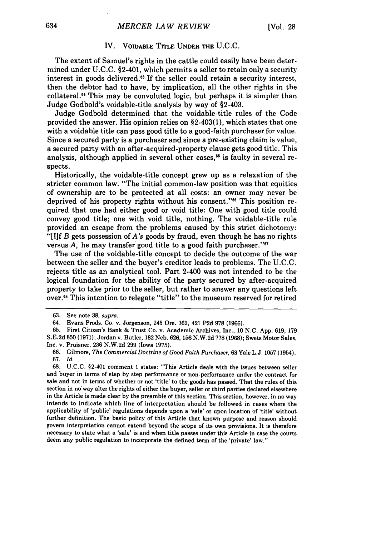### IV. **VOIDABLE TITLE UNDER THE U.C.C.**

The extent of Samuel's rights in the cattle could easily have been determined under **U.C.C.** §2-401, which permits a seller to retain only a security interest in goods delivered.63 **If** the seller could retain a security interest, then the debtor had to have, **by** implication, all the other rights in the collateral." This may be convoluted logic, but perhaps it is simpler than Judge Godbold's voidable-title analysis **by** way of §2-403.

Judge Godbold determined that the voidable-title rules of the Code provided the answer. His opinion relies on §2-403(1), which states that one with a voidable title can pass good title to a good-faith purchaser for value. Since a secured party is a purchaser and since a pre-existing claim is value, a secured party with an after-acquired-property clause gets good title. This analysis, although applied in several other cases,<sup>65</sup> is faulty in several respects.

Historically, the voidable-title concept grew up as a relaxation of the stricter common law. "The initial common-law position was that equities of ownership are to be protected at all costs: an owner may never be deprived of his property rights without his consent."6 This position required that one had either good or void title: One with good title could convey good title; one with void title, nothing. The voidable-title rule provided an escape from the problems caused **by** this strict dichotomy: "[Ilf *B* gets possession of A's goods by fraud, even though he has no rights versus *A*, he may transfer good title to a good faith purchaser."<sup>67</sup>

The use of the voidable-title concept to decide the outcome of the war between the seller and the buyer's creditor leads to problems. The U.C.C. rejects title as an analytical tool. Part 2-400 was not intended to be the logical foundation for the ability of the party secured by after-acquired property to take prior to the seller, but rather to answer any questions left over.6 This intention to relegate "title" to the museum reserved for retired

**<sup>63.</sup>** See note 38, supra.

<sup>64.</sup> Evans Prods. Co. v. Jorgenson, 245 Ore. 362, 421 P2d 978 (1966).

<sup>65.</sup> First Citizen's Bank & Trust Co. v. Academic Archives, Inc., 10 N.C. App. 619, 179 S.E.2d 850 (1971); Jordan v. Butler, 182 Neb. 626, 156 N.W.2d 778 (1968); Swets Motor Sales, Inc. v. Pruisner, 236 N.W.2d 299 (Iowa 1975).

<sup>66.</sup> Gilmore, *The Commercial Doctrine of Good Faith Purchaser,* 63 Yale L.J. 1057 (1954). 67. *Id.*

**<sup>68.</sup>** U.C.C. §2-401 comment 1 states: "This Article deals with the issues between seller and buyer in terms of step by step performance or non-performance under the contract for sale and not in terms of whether or not 'title' to the goods has passed. That the rules of this section in no way alter the rights of either the buyer, seller or third parties declared elsewhere in the Article is made clear by the preamble of this section. This section, however, in no way intends to indicate which line of interpretation should be followed in cases where the applicability of 'public' regulations depends upon a 'sale' or upon location of 'title' without further definition. The basic policy of this Article that known purpose and reason should govern interpretation cannot extend beyond the scope of its own provisions. It is therefore necessary to state what a 'sale' is and when title passes under this Article in case the courts deem any public regulation to incorporate the defined term of the 'private' law."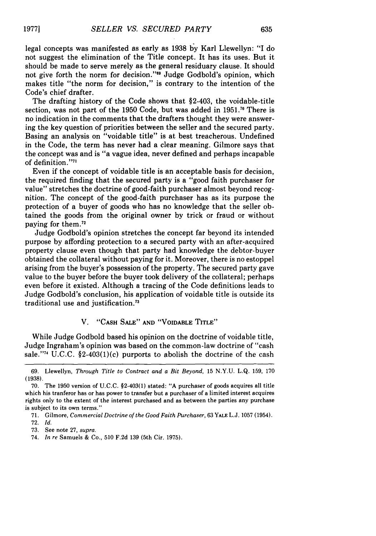legal concepts was manifested as early as 1938 **by** Karl Llewellyn: "I do not suggest the elimination of the Title concept. It has its uses. But it should be made to serve merely as the general residuary clause. It should not give forth the norm for decision."<sup>89</sup> Judge Godbold's opinion, which makes title "the norm for decision," is contrary to the intention of the Code's chief drafter.

The drafting history of the Code shows that §2-403, the voidable-title section, was not part of the 1950 Code, but was added in 1951.<sup>70</sup> There is no indication in the comments that the drafters thought they were answering the key question of priorities between the seller and the secured party. Basing an analysis on "voidable title" is at best treacherous. Undefined in the Code, the term has never had a clear meaning. Gilmore says that the concept was and is "a vague idea, never defined and perhaps incapable of definition."<sup>71</sup>

Even if the concept of voidable title is an acceptable basis for decision, the required finding that the secured party is a "good faith purchaser for value" stretches the doctrine of good-faith purchaser almost beyond recognition. The concept of the good-faith purchaser has as its purpose the protection of a buyer of goods who has no knowledge that the seller obtained the goods from the original owner by trick or fraud or without paying for them.<sup>7</sup>

Judge Godbold's opinion stretches the concept far beyond its intended purpose by affording protection to a secured party with an after-acquired property clause even though that party had knowledge the debtor-buyer obtained the collateral without paying for it. Moreover, there is no estoppel arising from the buyer's possession of the property. The secured party gave value to the buyer before the buyer took delivery of the collateral; perhaps even before it existed. Although a tracing of the Code definitions leads to Judge Godbold's conclusion, his application of voidable title is outside its traditional use and justification.<sup>73</sup>

# V. **"CASH SALE" AND "VOIDABLE TITLE"**

While Judge Godbold based his opinion on the doctrine of voidable title, Judge Ingraham's opinion was based on the common-law doctrine of "cash sale."<sup>74</sup> U.C.C.  $$2-403(1)(c)$  purports to abolish the doctrine of the cash

<sup>69.</sup> Llewellyn, *Through Title to Contract and a Bit Beyond,* 15 N.Y.U. **L.Q.** 159, 170 (1938).

<sup>70.</sup> The 1950 version of U.C.C. §2-403(1) stated: **"A** purchaser of goods acquires all title which his tranferor has or has power to transfer but a purchaser of a limited interest acquires rights only to the extent of the interest purchased and as between the parties any purchase is subject to its own terms."

<sup>71.</sup> Gilmore, *Commercial Doctrine of the Good Faith Purchaser,* 63 **YALE L.J.** 1057 (1954). 72. *Id.*

<sup>73.</sup> See note 27, *supra.*

<sup>74.</sup> *In re* Samuels & Co., 510 F.2d 139 (5th Cir. 1975).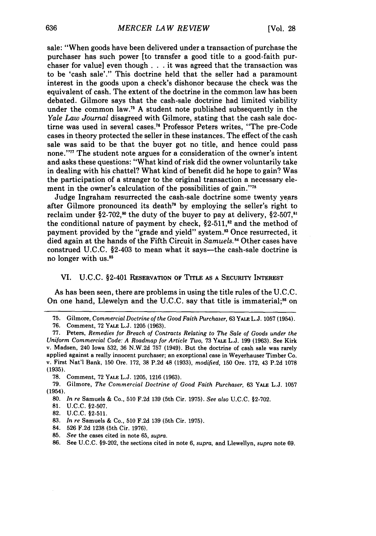sale: "When goods have been delivered under a transaction of purchase the purchaser has such power [to transfer a good title to a good-faith purchaser for value] even though **. . .** it was agreed that the transaction was to be 'cash sale'." This doctrine held that the seller had a paramount interest in the goods upon a check's dishonor because the check was the equivalent of cash. The extent of the doctrine in the common law has been debated. Gilmore says that the cash-sale doctrine had limited viability under the common law.<sup>75</sup> A student note published subsequently in the *Yale Law Journal* disagreed with Gilmore, stating that the cash sale doctirne was used in several cases.<sup>76</sup> Professor Peters writes, "The pre-Code cases in theory protected the seller in these instances. The effect of the cash sale was said to be that the buyer got no title, and hence could pass none."" The student note argues for a consideration of the owner's intent and asks these questions: "What kind of risk did the owner voluntarily take in dealing with his chattel? What kind of benefit did he hope to gain? Was the participation of a stranger to the original transaction a necessary element in the owner's calculation of the possibilities of gain."<sup>78</sup>

Judge Ingraham resurrected the cash-sale doctrine some twenty years after Gilmore pronounced its death" by employing the seller's right to reclaim under §2-702,<sup>80</sup> the duty of the buyer to pay at delivery, §2-507,<sup>81</sup> the conditional nature of payment by check,  $\S2-511$ ,<sup>82</sup> and the method of payment provided by the "grade and yield" system.<sup>83</sup> Once resurrected, it died again at the hands of the Fifth Circuit in *Samuels."* Other cases have construed U.C.C. §2-403 to mean what it says—the cash-sale doctrine is no longer with us.<sup>85</sup>

### VI. U.C.C. §2-401 RESERVATION OF TITLE **AS** A SECURITY INTEREST

As has been seen, there are problems in using the title rules of the U.C.C. On one hand, Llewelyn and the U.C.C. say that title is immaterial;<sup>86</sup> on

- **81. U.C.C. §2-507.**
- **82. U.C.C. §2-511.**

- 84. **526 F.2d 1238** (5th Cir. **1976).**
- **85.** *See* the cases cited in note **65,** *supra.*
- **86.** See **U.C.C. §9-202,** the sections cited in note **6,** *supra,* and Llewellyn, *supra* note **69.**

**<sup>75.</sup>** Gilmore, *Commercial Doctrine of the Good Faith Purchaser,* **63** YALE L.J. 1057 (1954).

**<sup>76.</sup>** Comment, **72** YALE L.J. **1205** (1963).

**<sup>77.</sup>** Peters, *Remedies for Breach of Contracts Relating to The Sale of Goods under the Uniform Commercial Code: A Roadmap for Article Two,* **73** YALE L.J. **199 (1963).** See Kirk v. Madsen, 240 Iowa **532,** 36 N.W.2d 757 (1949). But the doctrine of cash sale was rarely applied against a really innocent purchaser; an exceptional case in Weyerhauser Timber Co. v. First Nat'l Bank, **150** Ore. 172, **38** P.2d 48 **(1933),** *modified,* 150 Ore. 172, 43 P.2d 1078 **(1935).**

**<sup>78.</sup>** Comment, **72 YALE L.J. 1205, 1216 (1963).**

**<sup>79.</sup>** Gilmore, *The Commercial Doctrine of Good Faith Purchaser,* **63** YALE **L.J. 1057** (1954).

**<sup>80.</sup>** *In re* Samuels **&** Co., **510 F.2d 139** (5th Cir. **1975).** *See also* **U.C.C. §2-702.**

**<sup>83.</sup>** *In re* Samuels **&** Co., **510 F.2d 139** (5th Cir. **1975).**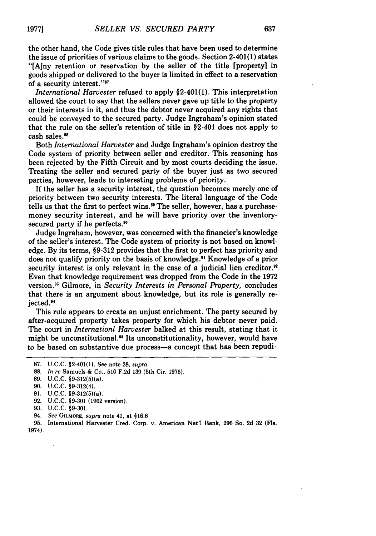the other hand, the Code gives title rules that have been used to determine the issue of priorities of various claims to the goods. Section 2-401(1) states "[Any retention or reservation **by** the seller of the title [property] in goods shipped or delivered to the buyer is limited in effect to a reservation of a security interest."<sup>37</sup>

*International Harvester* refused to apply §2-401(1). This interpretation allowed the court to say that the sellers never gave up title to the property or their interests in it, and thus the debtor never acquired any rights that could be conveyed to the secured party. Judge Ingraham's opinion stated that the rule on the seller's retention of title in §2-401 does not apply to cash sales.<sup>88</sup>

Both *International Harvester* and Judge Ingraham's opinion destroy the Code system of priority between seller and creditor. This reasoning has been rejected **by** the Fifth Circuit and **by** most courts deciding the issue. Treating the seller and secured party of the buyer just as two secured parties, however, leads to interesting problems of priority.

**If** the seller has a security interest, the question becomes merely one of priority between two security interests. The literal language of the Code tells us that the first to perfect wins.<sup>89</sup> The seller, however, has a purchasemoney security interest, and he will have priority over the inventorysecured party if he perfects.<sup>90</sup>

Judge Ingraham, however, was concerned with the financier's knowledge of the seller's interest. The Code system of priority is not based on knowledge. **By** its terms, **§9-312** provides that the first to perfect has priority and does not qualify priority on the basis of knowledge." Knowledge of a prior security interest is only relevant in the case of a judicial lien creditor.<sup>92</sup> Even that knowledge requirement was dropped from the Code in the **1972** version. 3 Gilmore, in *Security Interests in Personal Property,* concludes that there is an argument about knowledge, but its role is generally rejected.<sup>94</sup>

This rule appears to create an unjust enrichment. The party secured **by** after-acquired property takes property for which his debtor never paid. The court in *Internationl Harvester* balked at this result, stating that it might be unconstitutional.<sup>35</sup> Its unconstitutionality, however, would have to be based on substantive due process-a concept that has been repudi-

94. *See* **GILMORE,** *supra* note 41, at **§16.6**

**95.** International Harvester Cred. Corp. v. American Nat'l Bank, **296** So. **2d 32** (Fla. 1974).

**<sup>87.</sup> U.C.C.** §2-401(1). See note **38,** *supra.*

**<sup>88.</sup>** *In re* Samuels **&** Co., **510 F.2d 139** (5th Cir. **1975).**

**<sup>89.</sup>** U.C.C. §9-312(5)(a).

**<sup>90.</sup> U.C.C.** §9-312(4).

**<sup>91.</sup> U.C.C.** §9-312(5)(a).

**<sup>92.</sup> U.C.C. §9-301 (1962** version).

**<sup>93.</sup> U.C.C. §9-301.**